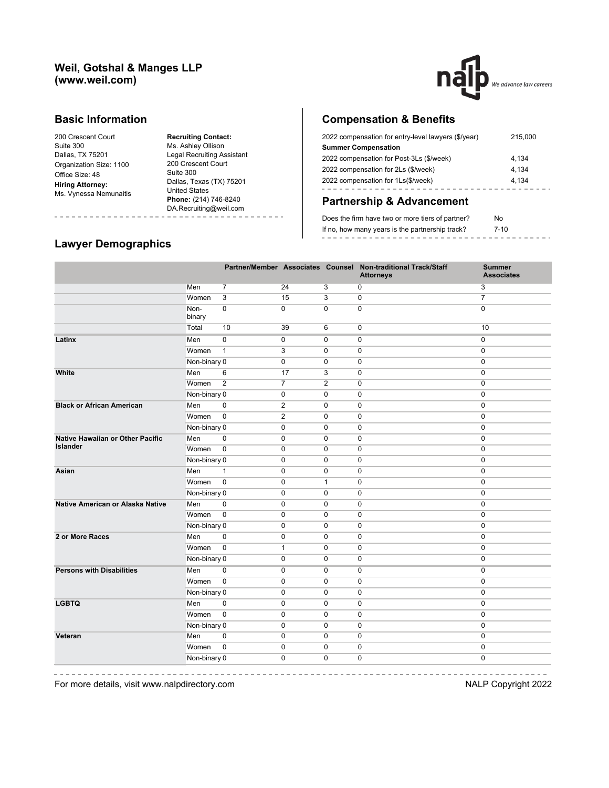## **Weil, Gotshal & Manges LLP (www.weil.com)**



### **Basic Information**

200 Crescent Court Suite 300 Dallas, TX 75201 Organization Size: 1100 Office Size: 48 **Hiring Attorney:** Ms. Vynessa Nemunaitis

**Recruiting Contact:** Ms. Ashley Ollison Legal Recruiting Assistant 200 Crescent Court Suite 300 Dallas, Texas (TX) 75201 United States **Phone:** (214) 746-8240 DA.Recruiting@weil.com -------- $- - - -$ 

# **Compensation & Benefits**

| 2022 compensation for entry-level lawyers (\$/year) | 215,000 |
|-----------------------------------------------------|---------|
| <b>Summer Compensation</b>                          |         |
| 2022 compensation for Post-3Ls (\$/week)            | 4,134   |
| 2022 compensation for 2Ls (\$/week)                 | 4.134   |
| 2022 compensation for 1Ls(\$/week)                  | 4.134   |
|                                                     |         |

# **Partnership & Advancement**

| Does the firm have two or more tiers of partner? | No       |  |
|--------------------------------------------------|----------|--|
| If no, how many years is the partnership track?  | $7 - 10$ |  |
|                                                  |          |  |

### **Lawyer Demographics**

----------------

|                                                            |                |                |                |              | Partner/Member Associates Counsel Non-traditional Track/Staff<br><b>Attorneys</b> | <b>Summer</b><br><b>Associates</b> |
|------------------------------------------------------------|----------------|----------------|----------------|--------------|-----------------------------------------------------------------------------------|------------------------------------|
|                                                            | Men            | $\overline{7}$ | 24             | 3            | 0                                                                                 | 3                                  |
|                                                            | Women          | 3              | 15             | 3            | $\mathbf 0$                                                                       | $\overline{7}$                     |
|                                                            | Non-<br>binary | $\mathbf 0$    | $\mathbf 0$    | $\mathbf 0$  | 0                                                                                 | $\mathbf 0$                        |
|                                                            | Total          | 10             | 39             | 6            | 0                                                                                 | 10                                 |
| Latinx                                                     | Men            | $\pmb{0}$      | $\pmb{0}$      | $\pmb{0}$    | 0                                                                                 | $\pmb{0}$                          |
|                                                            | Women          | $\mathbf{1}$   | 3              | $\mathbf 0$  | 0                                                                                 | $\mathbf 0$                        |
|                                                            | Non-binary 0   |                | $\mathbf 0$    | $\mathbf 0$  | 0                                                                                 | $\mathbf 0$                        |
| White                                                      | Men            | 6              | 17             | 3            | 0                                                                                 | $\pmb{0}$                          |
|                                                            | Women          | $\overline{2}$ | $\overline{7}$ | 2            | 0                                                                                 | $\pmb{0}$                          |
|                                                            | Non-binary 0   |                | $\mathbf 0$    | $\mathbf 0$  | 0                                                                                 | $\pmb{0}$                          |
| <b>Black or African American</b>                           | Men            | $\mathbf 0$    | 2              | $\mathbf 0$  | 0                                                                                 | $\mathbf 0$                        |
|                                                            | Women          | $\mathbf 0$    | 2              | $\Omega$     | 0                                                                                 | $\mathbf 0$                        |
|                                                            | Non-binary 0   |                | $\mathbf 0$    | $\mathbf 0$  | 0                                                                                 | $\pmb{0}$                          |
| <b>Native Hawaiian or Other Pacific</b><br><b>Islander</b> | Men            | $\pmb{0}$      | $\mathbf 0$    | $\mathbf 0$  | 0                                                                                 | $\pmb{0}$                          |
|                                                            | Women          | $\mathbf 0$    | $\mathbf 0$    | $\mathbf 0$  | 0                                                                                 | $\mathbf 0$                        |
|                                                            | Non-binary 0   |                | $\mathbf 0$    | $\mathbf 0$  | 0                                                                                 | $\mathbf 0$                        |
| Asian                                                      | Men            | $\mathbf{1}$   | $\mathbf 0$    | $\mathbf 0$  | 0                                                                                 | $\mathbf 0$                        |
|                                                            | Women          | $\mathbf 0$    | $\mathbf 0$    | $\mathbf{1}$ | 0                                                                                 | $\mathbf 0$                        |
|                                                            | Non-binary 0   |                | $\mathbf 0$    | $\mathbf 0$  | 0                                                                                 | $\pmb{0}$                          |
| Native American or Alaska Native                           | Men            | $\mathbf 0$    | $\mathbf 0$    | $\mathbf 0$  | 0                                                                                 | $\mathbf 0$                        |
|                                                            | Women          | $\mathbf 0$    | $\mathbf 0$    | $\mathbf 0$  | 0                                                                                 | $\mathbf{0}$                       |
|                                                            | Non-binary 0   |                | $\mathbf 0$    | $\mathbf 0$  | 0                                                                                 | $\pmb{0}$                          |
| 2 or More Races                                            | Men            | $\mathbf 0$    | $\mathbf 0$    | $\mathbf 0$  | 0                                                                                 | $\mathbf 0$                        |
|                                                            | Women          | $\mathbf 0$    | $\mathbf{1}$   | $\mathbf 0$  | 0                                                                                 | $\mathbf 0$                        |
|                                                            | Non-binary 0   |                | $\mathbf 0$    | $\mathbf 0$  | 0                                                                                 | $\mathbf 0$                        |
| <b>Persons with Disabilities</b>                           | Men            | $\Omega$       | $\mathbf 0$    | 0            | 0                                                                                 | $\mathbf{0}$                       |
|                                                            | Women          | $\Omega$       | $\mathbf 0$    | $\Omega$     | 0                                                                                 | $\Omega$                           |
|                                                            | Non-binary 0   |                | $\mathbf 0$    | $\mathbf 0$  | 0                                                                                 | $\mathbf 0$                        |
| <b>LGBTQ</b>                                               | Men            | $\mathbf 0$    | $\mathbf 0$    | $\mathbf 0$  | 0                                                                                 | $\mathbf{0}$                       |
|                                                            | Women          | $\mathbf 0$    | $\mathbf 0$    | $\mathbf 0$  | 0                                                                                 | $\mathbf{0}$                       |
|                                                            | Non-binary 0   |                | $\mathbf 0$    | $\mathbf 0$  | 0                                                                                 | $\mathbf{0}$                       |
| Veteran                                                    | Men            | $\mathbf 0$    | $\mathbf 0$    | $\mathbf 0$  | 0                                                                                 | $\mathbf{0}$                       |
|                                                            | Women          | $\mathbf 0$    | $\mathbf 0$    | $\mathbf 0$  | 0                                                                                 | $\mathbf 0$                        |
|                                                            | Non-binary 0   |                | $\mathbf 0$    | $\mathbf 0$  | 0                                                                                 | $\mathbf 0$                        |

 $\frac{1}{2}$ 

---------------------------For more details, visit www.nalpdirectory.com **NALP** Copyright 2022

 $-$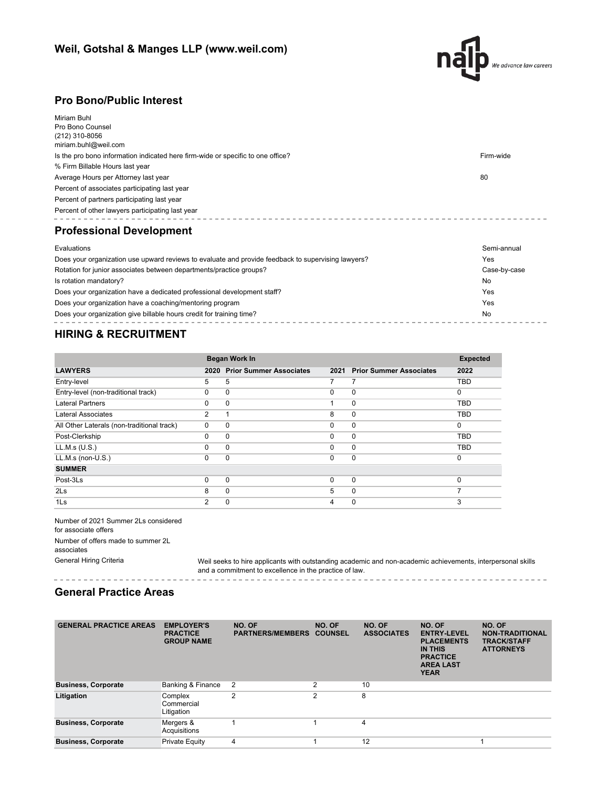

- - - - - - - - - -

-------------------------

## **Pro Bono/Public Interest**

| Miriam Buhl<br>Pro Bono Counsel<br>(212) 310-8056<br>miriam.buhl@weil.com                          |              |  |  |  |  |  |  |
|----------------------------------------------------------------------------------------------------|--------------|--|--|--|--|--|--|
| Is the pro bono information indicated here firm-wide or specific to one office?                    | Firm-wide    |  |  |  |  |  |  |
| % Firm Billable Hours last year                                                                    |              |  |  |  |  |  |  |
| Average Hours per Attorney last year                                                               | 80           |  |  |  |  |  |  |
| Percent of associates participating last year                                                      |              |  |  |  |  |  |  |
| Percent of partners participating last year                                                        |              |  |  |  |  |  |  |
| Percent of other lawyers participating last year                                                   |              |  |  |  |  |  |  |
| <b>Professional Development</b>                                                                    |              |  |  |  |  |  |  |
| Evaluations                                                                                        | Semi-annual  |  |  |  |  |  |  |
| Does your organization use upward reviews to evaluate and provide feedback to supervising lawyers? | Yes          |  |  |  |  |  |  |
| Rotation for junior associates between departments/practice groups?                                | Case-by-case |  |  |  |  |  |  |
| Is rotation mandatory?                                                                             | No           |  |  |  |  |  |  |
| Does your organization have a dedicated professional development staff?                            | <b>Yes</b>   |  |  |  |  |  |  |
| Does your organization have a coaching/mentoring program<br>Yes                                    |              |  |  |  |  |  |  |

Does your organization give billable hours credit for training time? No

# **HIRING & RECRUITMENT**

|                                            |                | <b>Began Work In</b>           |          |                                |            |
|--------------------------------------------|----------------|--------------------------------|----------|--------------------------------|------------|
| <b>LAWYERS</b>                             | 2020           | <b>Prior Summer Associates</b> | 2021     | <b>Prior Summer Associates</b> | 2022       |
| Entry-level                                | 5              | 5                              | 7        | 7                              | <b>TBD</b> |
| Entry-level (non-traditional track)        | 0              | $\Omega$                       | 0        | $\mathbf 0$                    | $\Omega$   |
| Lateral Partners                           | $\Omega$       | $\Omega$                       |          | $\mathbf 0$                    | <b>TBD</b> |
| Lateral Associates                         | 2              |                                | 8        | $\mathbf 0$                    | <b>TBD</b> |
| All Other Laterals (non-traditional track) | $\Omega$       | $\Omega$                       | 0        | $\mathbf 0$                    | $\Omega$   |
| Post-Clerkship                             | $\Omega$       | $\Omega$                       | $\Omega$ | $\mathbf 0$                    | <b>TBD</b> |
| LL.M.s (U.S.)                              | $\Omega$       | $\Omega$                       | $\Omega$ | $\mathbf 0$                    | <b>TBD</b> |
| $LL.M.s$ (non- $U.S.$ )                    | 0              | $\Omega$                       | 0        | $\mathbf 0$                    | $\Omega$   |
| <b>SUMMER</b>                              |                |                                |          |                                |            |
| Post-3Ls                                   | $\Omega$       | $\Omega$                       | 0        | $\overline{0}$                 | $\Omega$   |
| 2 <sub>ls</sub>                            | 8              | $\Omega$                       | 5        | $\mathbf 0$                    | 7          |
| 1 <sub>ls</sub>                            | $\overline{2}$ | 0                              | 4        | 0                              | 3          |

 $- - - -$ 

Number of 2021 Summer 2Ls considered for associate offers Number of offers made to summer 2L associates

General Hiring Criteria Weil seeks to hire applicants with outstanding academic and non-academic achievements, interpersonal skills and a commitment to excellence in the practice of law.

### **General Practice Areas**

| <b>GENERAL PRACTICE AREAS</b> | <b>EMPLOYER'S</b><br><b>PRACTICE</b><br><b>GROUP NAME</b> | NO. OF<br><b>PARTNERS/MEMBERS</b> | NO. OF<br><b>COUNSEL</b> | NO. OF<br><b>ASSOCIATES</b> | NO. OF<br><b>ENTRY-LEVEL</b><br><b>PLACEMENTS</b><br><b>IN THIS</b><br><b>PRACTICE</b><br><b>AREA LAST</b><br><b>YEAR</b> | NO. OF<br><b>NON-TRADITIONAL</b><br><b>TRACK/STAFF</b><br><b>ATTORNEYS</b> |
|-------------------------------|-----------------------------------------------------------|-----------------------------------|--------------------------|-----------------------------|---------------------------------------------------------------------------------------------------------------------------|----------------------------------------------------------------------------|
| <b>Business, Corporate</b>    | Banking & Finance                                         | - 2                               | 2                        | 10                          |                                                                                                                           |                                                                            |
| Litigation                    | Complex<br>Commercial<br>Litigation                       | 2                                 | 2                        | 8                           |                                                                                                                           |                                                                            |
| <b>Business, Corporate</b>    | Mergers &<br>Acquisitions                                 |                                   |                          | 4                           |                                                                                                                           |                                                                            |
| <b>Business, Corporate</b>    | Private Equity                                            | 4                                 |                          | 12                          |                                                                                                                           |                                                                            |